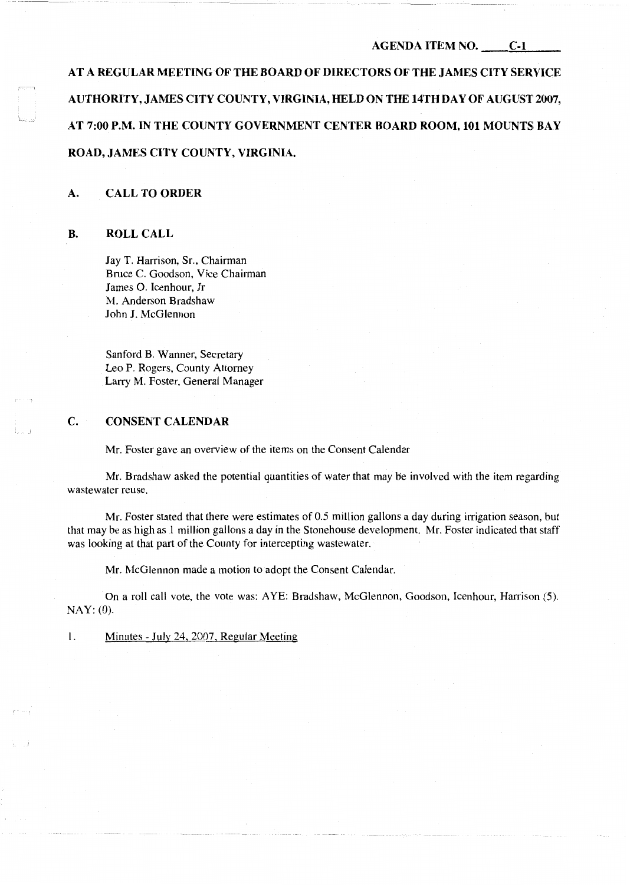# **AGENDA ITEM NO. C-1**

**AT A REGULAR MEETING OF THE BOARD OF DIRECTORS OF THE JAMES CITY SERVICE AUTHORITY, JAMES CITY COUNTY, VIRGINIA, HELD ON THE 14TH DAY OF AUGUST 2007, AT 7:00 P.M. IN THE COUNTY GOVERNMENT CENTER BOARD ROOM, 101 MOUNTS BAY ROAD, JAMES CITY COUNTY, VIRGINIA.** 

# **A. CALL TO ORDER**

### **B. ROLL CALL**

Jay T. Harrison, Sr., Chairman Bruce C. Goodson, Vice Chairman James 0. Icenhour, Jr M. Anderson Bradshaw John **J.** McGlennon

Sanford B. Wanner, Secretary Leo P. Rogers, County Attorney Larry M. Foster, General Manager

## **C. CONSENT CALENDAR**

Mr. Foster gave an overview of the items on the Consent Calendar

Mr. Bradshaw asked the potential quantities of water that may be involved with the item regarding wastewater reuse.

Mr. Foster stated that there were estimates of 0.5 million gallons a day during irrigation season, but that may be as high as 1 million gallons a day in the Stonehouse development. Mr. Foster indicated that staff was looking at that part of the County for intercepting wastewater.

Mr. McGlennon made a motion to adopt the Consent Calendar.

On a roll call vote, the vote was: AYE: Bradshaw, McGlennon, Goodson, Icenhour, Harrison (5). NAY: (0).

I. Minutes- July 24, 2007, Regular Meeting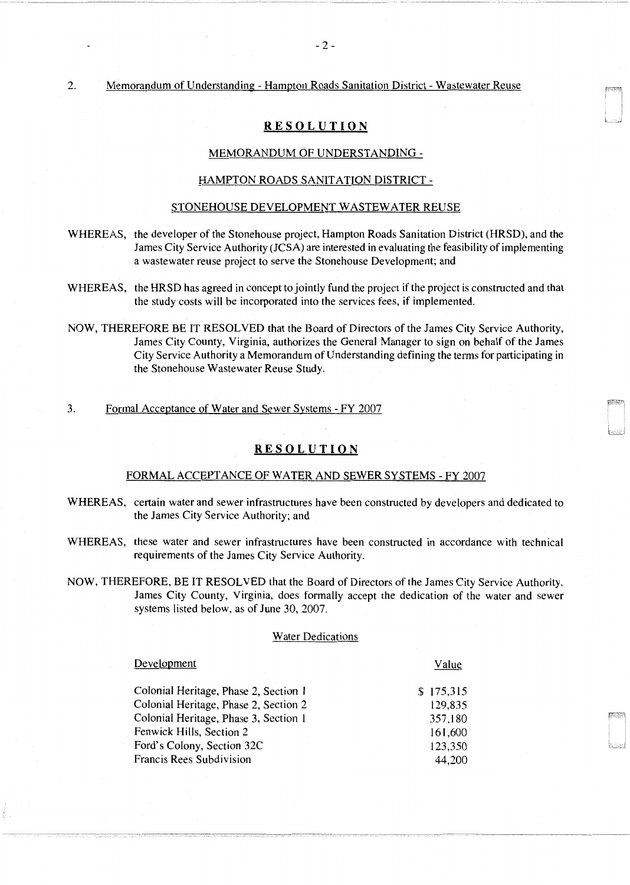## 2. Memorandum of Understanding - Hampton Roads Sanitation District - Wastewater Reuse

# **RESOLUTION**

### MEMORANDUM OF UNDERSTANDING -

#### HAMPTON ROADS SANITATION DISTRICT-

#### STONEHOUSE DEVELOPMENT WASTEWATER REUSE

- WHEREAS, the developer of the Stonehouse project, Hampton Roads Sanitation District (HRSD), and the James City Service Authority (JCSA) are interested in evaluating the feasibility of implementing a wastewater reuse project to serve the Stonehouse Development; and
- WHEREAS, the HRSD has agreed in concept to jointly fund the project if the project is constructed and that the study costs will be incorporated into the services fees, if implemented.
- NOW, THEREFORE BE IT RESOLVED that the Board of Directors of the James City Service Authority, James City County, Virginia, authorizes the General Manager to sign on behalf of the James City Service Authority a Memorandum of Understanding defining the terms for participating in the Stonehouse Wastewater Reuse Study.
- 3. Formal Acceptance of Water and Sewer Systems FY 2007

# **RESOLUTION**

#### FORMAL ACCEPTANCE OF WATER AND SEWER SYSTEMS - FY 2007

- WHEREAS, certain water and sewer infrastructures have been constructed by developers and dedicated to the James City Service Authority; and
- WHEREAS, these water and sewer infrastructures have been constructed in accordance with technical requirements of the James City Service Authority.
- NOW, THEREFORE, BE IT RESOLVED that the Board of Directors of the James City Service Authority, James City County, Virginia, does formally accept the dedication of the water and sewer systems listed below, as of June 30, 2007.

#### Water Dedications

---------~-··

| Development                           | Value     |
|---------------------------------------|-----------|
| Colonial Heritage, Phase 2, Section 1 | \$175,315 |
| Colonial Heritage, Phase 2, Section 2 | 129,835   |
| Colonial Heritage, Phase 3, Section 1 | 357,180   |
| Fenwick Hills, Section 2              | 161,600   |
| Ford's Colony, Section 32C            | 123,350   |
| Francis Rees Subdivision              | 44,200    |

---------· ------··~----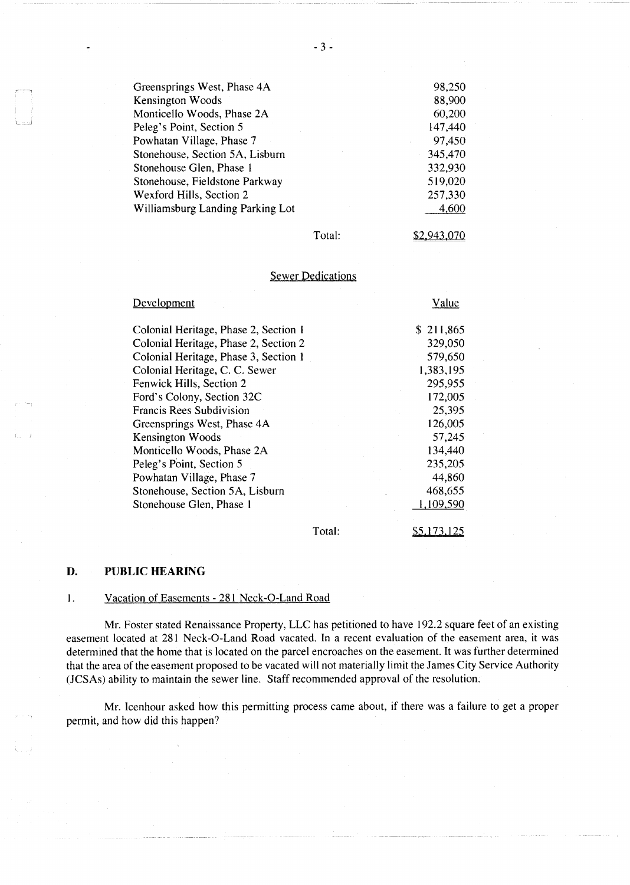| Greensprings West, Phase 4A      | 98,250  |
|----------------------------------|---------|
| Kensington Woods                 | 88,900  |
| Monticello Woods, Phase 2A       | 60,200  |
| Peleg's Point, Section 5         | 147,440 |
| Powhatan Village, Phase 7        | 97,450  |
| Stonehouse, Section 5A, Lisburn  | 345,470 |
| Stonehouse Glen, Phase 1         | 332,930 |
| Stonehouse, Fieldstone Parkway   | 519,020 |
| Wexford Hills, Section 2         | 257,330 |
| Williamsburg Landing Parking Lot | 4,600   |
|                                  |         |

Total:

\$2.943.070

\$S.173.12S

### Sewer Dedications

| Development                           | Value     |
|---------------------------------------|-----------|
| Colonial Heritage, Phase 2, Section 1 | \$211,865 |
| Colonial Heritage, Phase 2, Section 2 | 329,050   |
| Colonial Heritage, Phase 3, Section 1 | 579,650   |
| Colonial Heritage, C. C. Sewer        | 1,383,195 |
| Fenwick Hills, Section 2              | 295,955   |
| Ford's Colony, Section 32C            | 172,005   |
| <b>Francis Rees Subdivision</b>       | 25,395    |
| Greensprings West, Phase 4A           | 126,005   |
| Kensington Woods                      | 57,245    |
| Monticello Woods, Phase 2A            | 134,440   |
| Peleg's Point, Section 5              | 235,205   |
| Powhatan Village, Phase 7             | 44,860    |
| Stonehouse, Section 5A, Lisburn       | 468,655   |
| Stonehouse Glen, Phase 1              | 1,109,590 |
|                                       |           |

Total:

### **D. PUBLIC HEARING**

### I. Vacation of Easements - 281 Neck-0-Land Road

Mr. Foster stated Renaissance Property, LLC has petitioned to have 192.2 square feet of an existing easement located at 281 Neck-0-Land Road vacated. In a recent evaluation of the easement area, it was determined that the home that is located on the parcel encroaches on the easement. It was further determined that the area of the easement proposed to be vacated will not materially limit the James City Service Authority (JCSAs) ability to maintain the sewer line. Staff recommended approval of the resolution.

Mr. Icenhour asked how this permitting process came about, if there was a failure to get a proper permit, and how did this happen?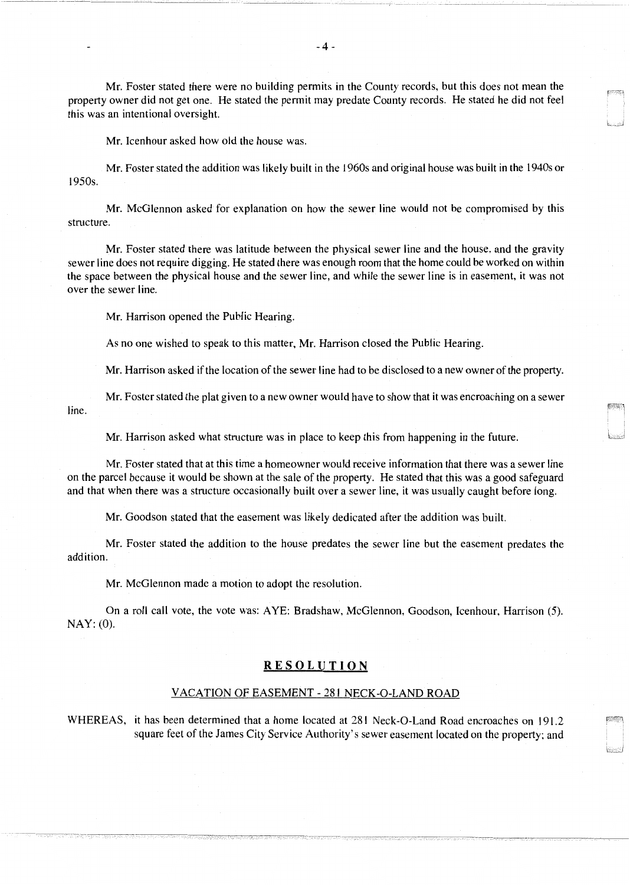Mr. Foster stated there were no building permits in the County records, but this does not mean the property owner did not get one. He stated the pennit may predate County records. He stated he did not feel this was an intentional oversight.

Mr. Icenhour asked how old the house was.

Mr. Foster stated the addition was likely built in the 1960s and original house was built in the 1940s or 1950s.

Mr. McGlennon asked for explanation on how the sewer line would not be compromised by this structure.

Mr. Foster stated there was latitude between the physical sewer line and the house, and the gravity sewer line does not require digging. He stated there was enough room that the home could be worked on within the space between the physical house and the sewer line, and while the sewer line is in easement, it was not over the sewer line.

Mr. Harrison opened the Public Hearing.

As no one wished to speak to this matter, Mr. Harrison closed the Public Hearing.

Mr. Harrison asked if the location of the sewer line had to be disclosed to a new owner of the property.

Mr. Foster stated the plat given to a new owner would have to show that it was encroaching on a sewer line.

Mr. Harrison asked what structure was in place to keep this from happening in the future.

Mr. Foster stated that at this time a homeowner would receive infonnation that there was a sewer line on the parcel because it would be shown at the sale of the property. He stated that this was a good safeguard and that when there was a structure occasionally built over a sewer line, it was usually caught before long.

Mr. Goodson stated that the easement was likely dedicated after the addition was built.

Mr. Foster stated the addition to the house predates the sewer line but the easement predates the addition.

Mr. McGlennon made a motion to adopt the resolution.

On a roll call vote, the vote was: AYE: Bradshaw, McGlennon, Goodson, Icenhour, Harrison (5). NAY: (0).

# **RESOLUTION**

### VACATION OF EASEMENT- 281 NECK-0-LAND ROAD

WHEREAS, it has been determined that a home located at 281 Neck-0-Land Road encroaches on 191.2 square feet of the James City Service Authority's sewer easement located on the property; and

.<br>Hawwiishin handele kalendari kalendari kalendari kalendari k